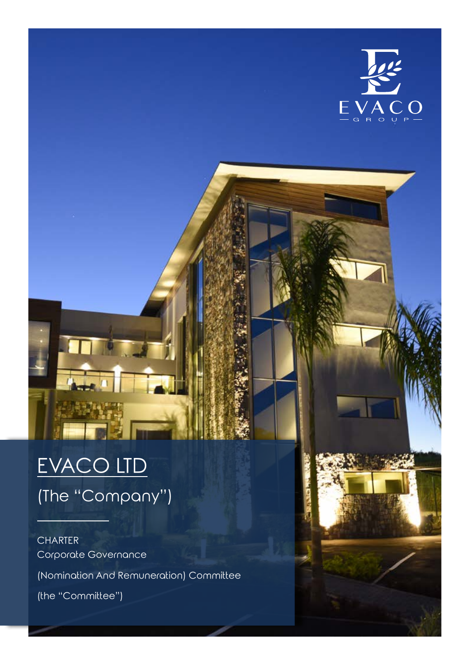

# EVACO LTD (The "Company")

### **CHARTER** Corporate Governance

(Nomination And Remuneration) Committee

(the "Committee")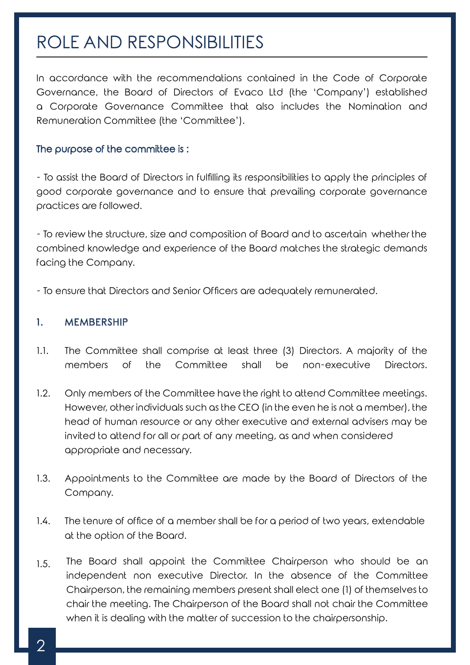## ROLE AND RESPONSIBILITIES

In accordance with the recommendations contained in the Code of Corporate Governance, the Board of Directors of Evaco Ltd (the 'Company') established a Corporate Governance Committee that also includes the Nomination and Remuneration Committee (the 'Committee').

#### The purpose of the committee is :

- To assist the Board of Directors in fulfilling its responsibilities to apply the principles of good corporate governance and to ensure that prevailing corporate governance practices are followed.

- To review the structure, size and composition of Board and to ascertain whether the combined knowledge and experience of the Board matches the strategic demands facing the Company.

- To ensure that Directors and Senior Officers are adequately remunerated.

#### 1. MEMBERSHIP

- 1.1. The Committee shall comprise at least three (3) Directors. A majority of the members of the Committee shall be non-executive Directors.
- 1.2. Only members of the Committee have the right to attend Committee meetings. However, other individuals such as the CEO (in the even he is not a member), the head of human resource or any other executive and external advisers may be invited to attend for all or part of any meeting, as and when considered appropriate and necessary.
- 1.3. Appointments to the Committee are made by the Board of Directors of the Company.
- 1.4. The tenure of office of a member shall be for a period of two years, extendable at the option of the Board.
- 1.5. The Board shall appoint the Committee Chairperson who should be an independent non executive Director. In the absence of the Committee Chairperson, the remaining members present shall elect one (1) of themselves to chair the meeting. The Chairperson of the Board shall not chair the Committee when it is dealing with the matter of succession to the chairpersonship.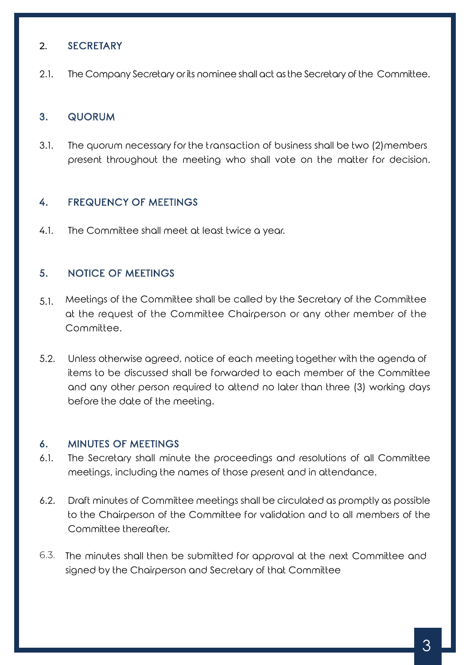#### 2. SECRETARY

2.1. The Company Secretary or its nominee shall act as the Secretary of the Committee.

#### 3. QUORUM

3.1. The quorum necessary for the transaction of business shall be two (2)members present throughout the meeting who shall vote on the matter for decision.

#### 4. FREQUENCY OF MEETINGS

4.1. The Committee shall meet at least twice a year.

#### 5. NOTICE OF MEETINGS

- 5.1. Meetings of the Committee shall be called by the Secretary of the Committee at the request of the Committee Chairperson or any other member of the Committee.
- 5.2. Unless otherwise agreed, notice of each meeting together with the agenda of items to be discussed shall be forwarded to each member of the Committee and any other person required to attend no later than three (3) working days before the date of the meeting.

#### 6. MINUTES OF MEETINGS

- 6.1. The Secretary shall minute the proceedings and resolutions of all Committee meetings, including the names of those present and in attendance.
- 6.2. Draft minutes of Committee meetings shall be circulated as promptly as possible to the Chairperson of the Committee for validation and to all members of the Committee thereafter.
- 6.3. The minutes shall then be submitted for approval at the next Committee and signed by the Chairperson and Secretary of that Committee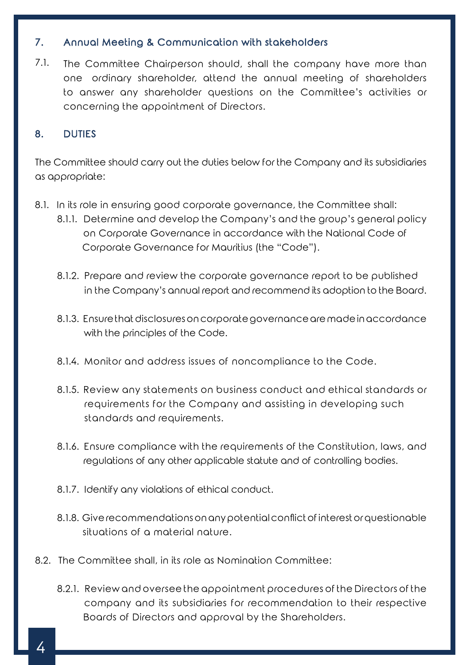#### 7. Annual Meeting & Communication with stakeholders

7.1. The Committee Chairperson should, shall the company have more than one ordinary shareholder, attend the annual meeting of shareholders to answer any shareholder questions on the Committee's activities or concerning the appointment of Directors.

#### 8. DUTIES

The Committee should carry out the duties below for the Company and its subsidiaries as appropriate:

- 8.1. In its role in ensuring good corporate governance, the Committee shall:
	- 8.1.1. Determine and develop the Company's and the group's general policy on Corporate Governance in accordance with the National Code of Corporate Governance for Mauritius (the "Code").
	- 8.1.2. Prepare and review the corporate governance report to be published in the Company's annual report and recommend its adoption to the Board.
	- 8.1.3. Ensure that disclosures on corporate governance are made in accordance with the principles of the Code.
	- 8.1.4. Monitor and address issues of noncompliance to the Code.
	- 8.1.5. Review any statements on business conduct and ethical standards or requirements for the Company and assisting in developing such standards and requirements.
	- 8.1.6. Ensure compliance with the requirements of the Constitution, laws, and regulations of any other applicable statute and of controlling bodies.
	- 8.1.7. Identify any violations of ethical conduct.
	- 8.1.8. Give recommendations on any potential conflict of interest or questionable situations of a material nature.
- 8.2. The Committee shall, in its role as Nomination Committee:
	- 8.2.1. Review and oversee the appointment procedures of the Directors of the company and its subsidiaries for recommendation to their respective Boards of Directors and approval by the Shareholders.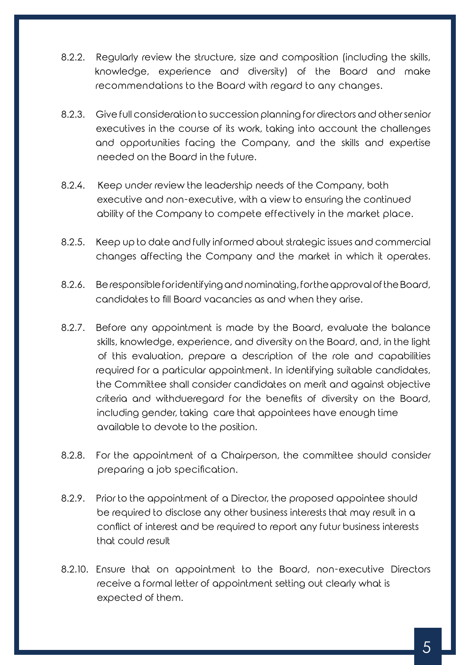- 8.2.2. Regularly review the structure, size and composition (including the skills, knowledge, experience and diversity) of the Board and make recommendations to the Board with regard to any changes.
- 8.2.3. Give full consideration to succession planning for directors and other senior executives in the course of its work, taking into account the challenges and opportunities facing the Company, and the skills and expertise needed on the Board in the future.
- 8.2.4. Keep under review the leadership needs of the Company, both executive and non-executive, with a view to ensuring the continued ability of the Company to compete effectively in the market place.
- 8.2.5. Keep up to date and fully informed about strategic issues and commercial changes affecting the Company and the market in which it operates.
- 8.2.6. Be responsible for identifying and nominating, for the approval of the Board, candidates to fill Board vacancies as and when they arise.
- 8.2.7. Before any appointment is made by the Board, evaluate the balance skills, knowledge, experience, and diversity on the Board, and, in the light of this evaluation, prepare a description of the role and capabilities required for a particular appointment. In identifying suitable candidates, the Committee shall consider candidates on merit and against objective criteria and withdueregard for the benefits of diversity on the Board, including gender, taking care that appointees have enough time available to devote to the position.
- 8.2.8. For the appointment of a Chairperson, the committee should consider preparing a job specification.
- 8.2.9. Prior to the appointment of a Director, the proposed appointee should be required to disclose any other business interests that may result in a conflict of interest and be required to report any futur business interests that could result
- 8.2.10. Ensure that on appointment to the Board, non-executive Directors receive a formal letter of appointment setting out clearly what is expected of them.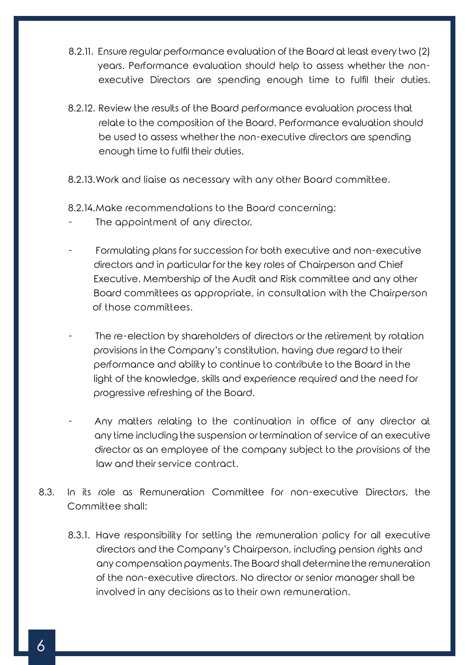- 8.2.11. Ensure regular performance evaluation of the Board at least every two (2) years. Performance evaluation should help to assess whether the non executive Directors are spending enough time to fulfil their duties.
- 8.2.12. Review the results of the Board performance evaluation process that relate to the composition of the Board. Performance evaluation should be used to assess whether the non-executive directors are spending enough time to fulfil their duties.
- 8.2.13.Work and liaise as necessary with any other Board committee.
- 8.2.14.Make recommendations to the Board concerning:
- The appointment of any director.
- Formulating plans for succession for both executive and non-executive directors and in particular for the key roles of Chairperson and Chief Executive. Membership of the Audit and Risk committee and any other Board committees as appropriate, in consultation with the Chairperson of those committees.
- The re-election by shareholders of directors or the retirement by rotation provisions in the Company's constitution, having due regard to their performance and ability to continue to contribute to the Board in the light of the knowledge, skills and experience required and the need for progressive refreshing of the Board.
- Any matters relating to the continuation in office of any director at any time including the suspension or termination of service of an executive director as an employee of the company subject to the provisions of the law and their service contract.
- 8.3. In its role as Remuneration Committee for non-executive Directors, the Committee shall:
	- 8.3.1. Have responsibility for setting the remuneration policy for all executive directors and the Company's Chairperson, including pension rights and any compensation payments. The Board shall determine the remuneration of the non-executive directors. No director or senior manager shall be involved in any decisions as to their own remuneration.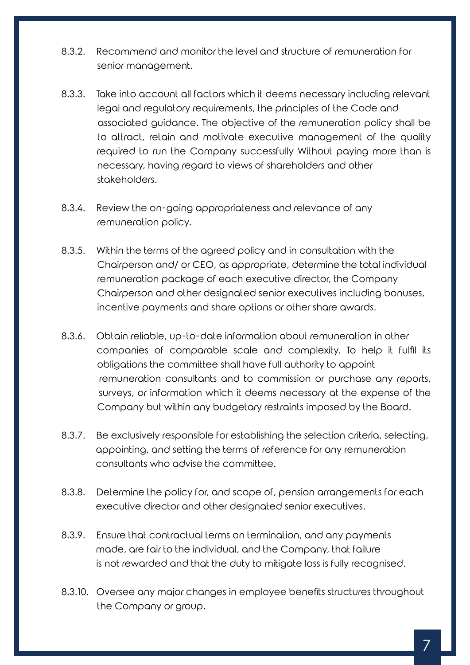- 8.3.2. Recommend and monitor the level and structure of remuneration for senior management.
- 8.3.3. Take into account all factors which it deems necessary including relevant legal and regulatory requirements, the principles of the Code and associated guidance. The objective of the remuneration policy shall be to attract, retain and motivate executive management of the quality required to run the Company successfully Without paying more than is necessary, having regard to views of shareholders and other stakeholders.
- 8.3.4. Review the on-going appropriateness and relevance of any remuneration policy.
- 8.3.5. Within the terms of the agreed policy and in consultation with the Chairperson and/ or CEO, as appropriate, determine the total individual remuneration package of each executive director, the Company Chairperson and other designated senior executives including bonuses, incentive payments and share options or other share awards.
- 8.3.6. Obtain reliable, up-to-date information about remuneration in other companies of comparable scale and complexity. To help it fulfil its obligations the committee shall have full authority to appoint remuneration consultants and to commission or purchase any reports, surveys, or information which it deems necessary at the expense of the Company but within any budgetary restraints imposed by the Board.
- 8.3.7. Be exclusively responsible for establishing the selection criteria, selecting, appointing, and setting the terms of reference for any remuneration consultants who advise the committee.
- 8.3.8. Determine the policy for, and scope of, pension arrangements for each executive director and other designated senior executives.
- 8.3.9. Ensure that contractual terms on termination, and any payments made, are fair to the individual, and the Company, that failure is not rewarded and that the duty to mitigate loss is fully recognised.
- 8.3.10. Oversee any major changes in employee benefits structures throughout the Company or group.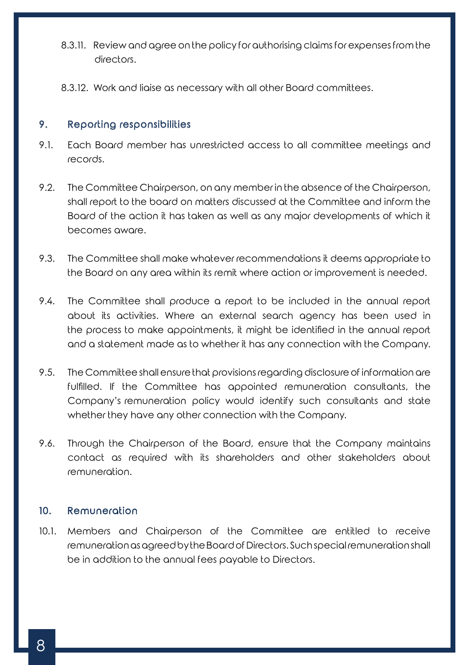- 8.3.11. Review and agree on the policy for authorising claims for expenses from the directors.
- 8.3.12. Work and liaise as necessary with all other Board committees.

#### 9. Reporting responsibilities

- 9.1. Each Board member has unrestricted access to all committee meetings and records.
- 9.2. The Committee Chairperson, on any member in the absence of the Chairperson, shall report to the board on matters discussed at the Committee and inform the Board of the action it has taken as well as any major developments of which it becomes aware.
- 9.3. The Committee shall make whatever recommendations it deems appropriate to the Board on any area within its remit where action or improvement is needed.
- 9.4. The Committee shall produce a report to be included in the annual report about its activities. Where an external search agency has been used in the process to make appointments, it might be identified in the annual report and a statement made as to whether it has any connection with the Company.
- 9.5. The Committee shall ensure that provisions regarding disclosure of information are fulfilled. If the Committee has appointed remuneration consultants, the Company's remuneration policy would identify such consultants and state whether they have any other connection with the Company.
- 9.6. Through the Chairperson of the Board, ensure that the Company maintains contact as required with its shareholders and other stakeholders about remuneration.

#### 10. Remuneration

10.1. Members and Chairperson of the Committee are entitled to receive remuneration as agreed by the Board of Directors. Such special remuneration shall be in addition to the annual fees payable to Directors.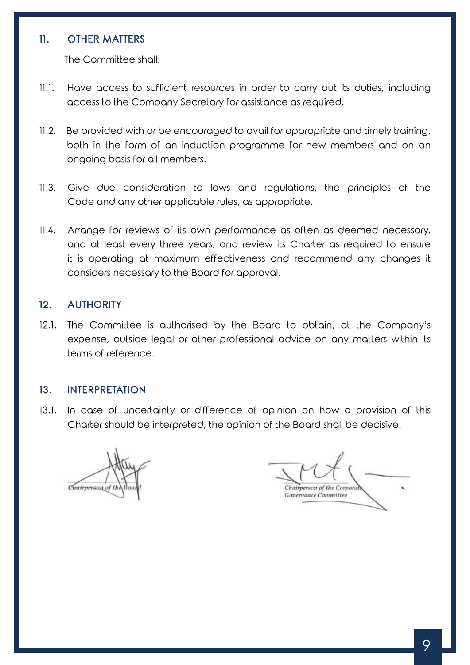#### 11. OTHER MATTERS

The Committee shall:

- 11.1. Have access to sufficient resources in order to carry out its duties, including access to the Company Secretary for assistance as required.
- 11.2. Be provided with or be encouraged to avail for appropriate and timely training, both in the form of an induction programme for new members and on an ongoing basis for all members.
- 11.3. Give due consideration to laws and regulations, the principles of the Code and any other applicable rules, as appropriate.
- 11.4. Arrange for reviews of its own performance as often as deemed necessary, and at least every three years, and review its Charter as required to ensure it is operating at maximum effectiveness and recommend any changes it considers necessary to the Board for approval.

#### 12. AUTHORITY

12.1. The Committee is authorised by the Board to obtain, at the Company's expense, outside legal or other professional advice on any matters within its terms of reference.

#### 13. INTERPRETATION

13.1. In case of uncertainty or difference of opinion on how a provision of this Charter should be interpreted, the opinion of the Board shall be decisive.

Chairperson of th

Chairperson of the Corporal **Governance Committee**